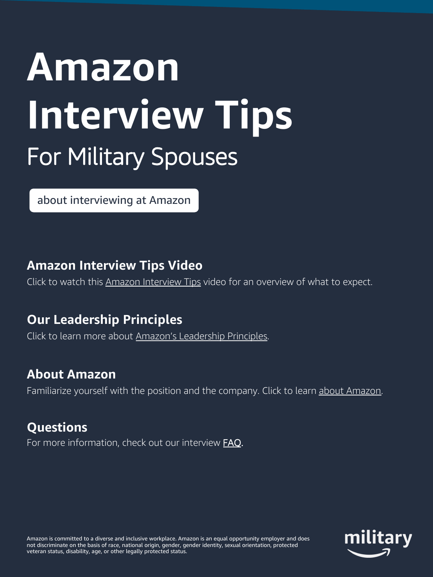# **Amazon Interview Tips** For Military Spouses

[about interviewing at Amazon](https://www.amazon.jobs/en/landing_pages/interviewing-at-amazon) 

## **Amazon Interview Tips Video**

Click to watch this [Amazon Interview Tips](https://www.youtube.com/watch?v=Pz0CbXA4mn8&feature=youtu.be) video for an overview of what to expect.

# **Our Leadership Principles**

Click to learn more about [Amazon's Leadership Principles.](https://www.amazon.jobs/en/principles)

# **About Amazon**

Familiarize yourself with the position and the company. Click to learn [about Amazon.](https://www.amazon.jobs/en/landing_pages/about-amazon)

# **Questions**

For more information, check out our interview **[FAQ](https://www.amazon.jobs/en/faqs).** 

Amazon is committed to a diverse and inclusive workplace. Amazon is an equal opportunity employer and does not discriminate on the basis of race, national origin, gender, gender identity, sexual orientation, protected veteran status, disability, age, or other legally protected status.

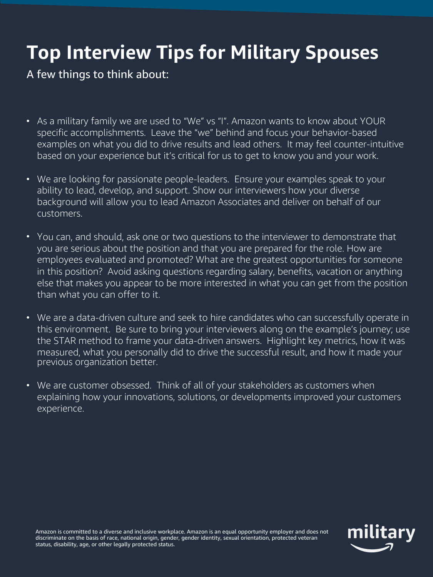# **Top Interview Tips for Military Spouses**

#### A few things to think about:

- As a military family we are used to "We" vs "I". Amazon wants to know about YOUR specific accomplishments. Leave the "we" behind and focus your behavior-based examples on what you did to drive results and lead others. It may feel counter-intuitive based on your experience but it's critical for us to get to know you and your work.
- We are looking for passionate people-leaders. Ensure your examples speak to your ability to lead, develop, and support. Show our interviewers how your diverse background will allow you to lead Amazon Associates and deliver on behalf of our customers.
- You can, and should, ask one or two questions to the interviewer to demonstrate that you are serious about the position and that you are prepared for the role. How are employees evaluated and promoted? What are the greatest opportunities for someone in this position? Avoid asking questions regarding salary, benefits, vacation or anything else that makes you appear to be more interested in what you can get from the position than what you can offer to it.
- We are a data-driven culture and seek to hire candidates who can successfully operate in this environment. Be sure to bring your interviewers along on the example's journey; use the STAR method to frame your data-driven answers. Highlight key metrics, how it was measured, what you personally did to drive the successful result, and how it made your previous organization better.
- We are customer obsessed. Think of all of your stakeholders as customers when explaining how your innovations, solutions, or developments improved your customers experience.

Amazon is committed to a diverse and inclusive workplace. Amazon is an equal opportunity employer and does not discriminate on the basis of race, national origin, gender, gender identity, sexual orientation, protected veteran status, disability, age, or other legally protected status.